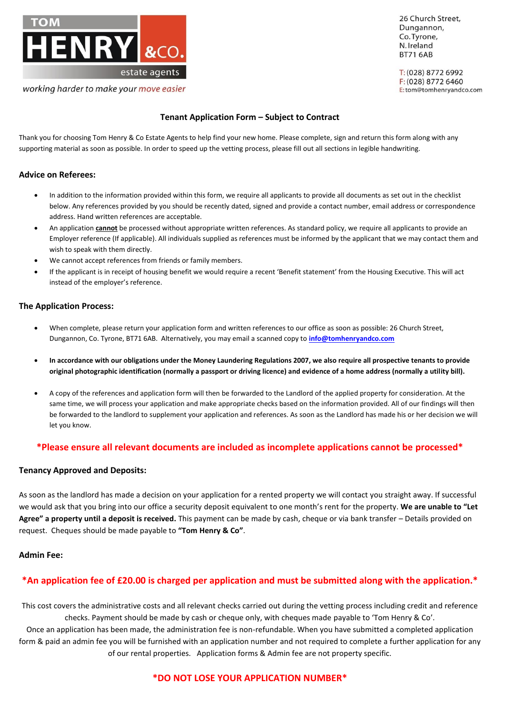

## **Tenant Application Form – Subject to Contract**

Thank you for choosing Tom Henry & Co Estate Agents to help find your new home. Please complete, sign and return this form along with any supporting material as soon as possible. In order to speed up the vetting process, please fill out all sections in legible handwriting.

## **Advice on Referees:**

- In addition to the information provided within this form, we require all applicants to provide all documents as set out in the checklist below. Any references provided by you should be recently dated, signed and provide a contact number, email address or correspondence address. Hand written references are acceptable.
- An application **cannot** be processed without appropriate written references. As standard policy, we require all applicants to provide an Employer reference (If applicable). All individuals supplied as references must be informed by the applicant that we may contact them and wish to speak with them directly.
- We cannot accept references from friends or family members.
- If the applicant is in receipt of housing benefit we would require a recent 'Benefit statement' from the Housing Executive. This will act instead of the employer's reference.

## **The Application Process:**

- When complete, please return your application form and written references to our office as soon as possible: 26 Church Street, Dungannon, Co. Tyrone, BT71 6AB. Alternatively, you may email a scanned copy to **[info@tomhenryandco.com](mailto:info@tomhenryandco.com)**
- **In accordance with our obligations under the Money Laundering Regulations 2007, we also require all prospective tenants to provide original photographic identification (normally a passport or driving licence) and evidence of a home address (normally a utility bill).**
- A copy of the references and application form will then be forwarded to the Landlord of the applied property for consideration. At the same time, we will process your application and make appropriate checks based on the information provided. All of our findings will then be forwarded to the landlord to supplement your application and references. As soon as the Landlord has made his or her decision we will let you know.

## **\*Please ensure all relevant documents are included as incomplete applications cannot be processed\***

## **Tenancy Approved and Deposits:**

As soon as the landlord has made a decision on your application for a rented property we will contact you straight away. If successful we would ask that you bring into our office a security deposit equivalent to one month's rent for the property. **We are unable to "Let Agree" a property until a deposit is received.** This payment can be made by cash, cheque or via bank transfer – Details provided on request. Cheques should be made payable to **"Tom Henry & Co"**.

## **Admin Fee:**

## **\*An application fee of £20.00 is charged per application and must be submitted along with the application.\***

This cost covers the administrative costs and all relevant checks carried out during the vetting process including credit and reference checks. Payment should be made by cash or cheque only, with cheques made payable to 'Tom Henry & Co'.

Once an application has been made, the administration fee is non-refundable. When you have submitted a completed application form & paid an admin fee you will be furnished with an application number and not required to complete a further application for any of our rental properties. Application forms & Admin fee are not property specific.

## **\*DO NOT LOSE YOUR APPLICATION NUMBER\***

26 Church Street, Dungannon, Co.Tvrone, N. Ireland **BT71 6AB** 

T: (028) 8772 6992 F: (028) 8772 6460 E: tom@tomhenryandco.com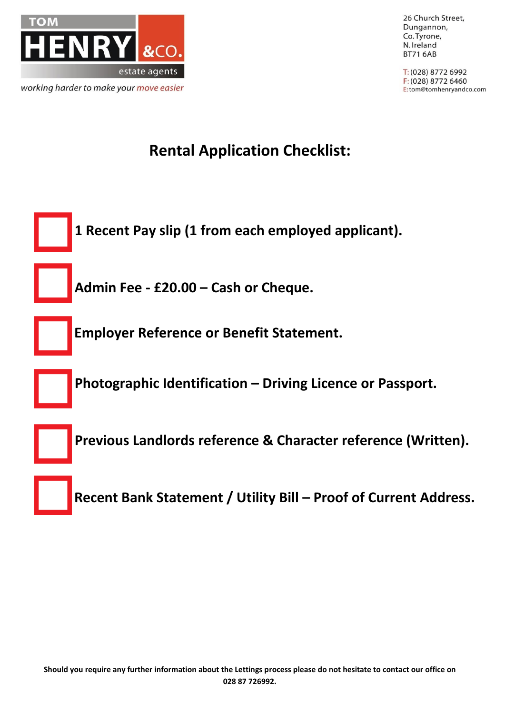

26 Church Street, Dungannon, Co. Tyrone, N. Ireland **BT71 6AB** 

T: (028) 8772 6992 F: (028) 8772 6460 E:tom@tomhenryandco.com

## **Rental Application Checklist:**

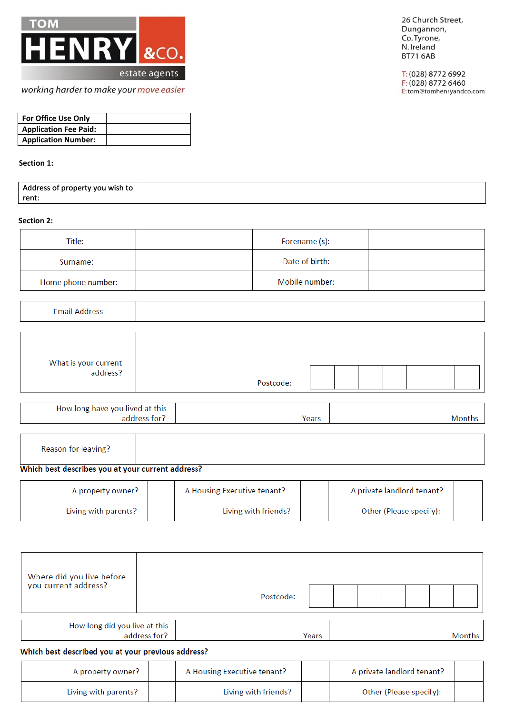

26 Church Street, Dungannon, Co. Tyrone, N. Ireland **BT71 6AB** 

T: (028) 8772 6992 F: (028) 8772 6460 E:tom@tomhenryandco.com

| <b>For Office Use Only</b>   |  |
|------------------------------|--|
| <b>Application Fee Paid:</b> |  |
| <b>Application Number:</b>   |  |

## Section 1:

| Address of property you wish to |  |
|---------------------------------|--|
| rent:                           |  |

### Section 2:

| Title:             | Forename (s):  |  |
|--------------------|----------------|--|
| Surname:           | Date of birth: |  |
| Home phone number: | Mobile number: |  |

## **Email Address**

| What is your current<br>address? | Postcode: |  |  |  |  |
|----------------------------------|-----------|--|--|--|--|

| How long have you lived at this |       |  |
|---------------------------------|-------|--|
| address for?                    | Years |  |

|--|

## Which best describes you at your current address?

Living with parents?

| A property owner?    | A Housing Executive tenant? |  | A private landlord tenant? |  |
|----------------------|-----------------------------|--|----------------------------|--|
| Living with parents? | Living with friends?        |  | Other (Please specify):    |  |

| Where did you live before<br>you current address?  |              | Postcode:                   |       |                            |        |
|----------------------------------------------------|--------------|-----------------------------|-------|----------------------------|--------|
| How long did you live at this                      | address for? |                             | Years |                            | Months |
| Which best described you at your previous address? |              |                             |       |                            |        |
| A property owner?                                  |              | A Housing Executive tenant? |       | A private landlord tenant? |        |

Living with friends?

Other (Please specify):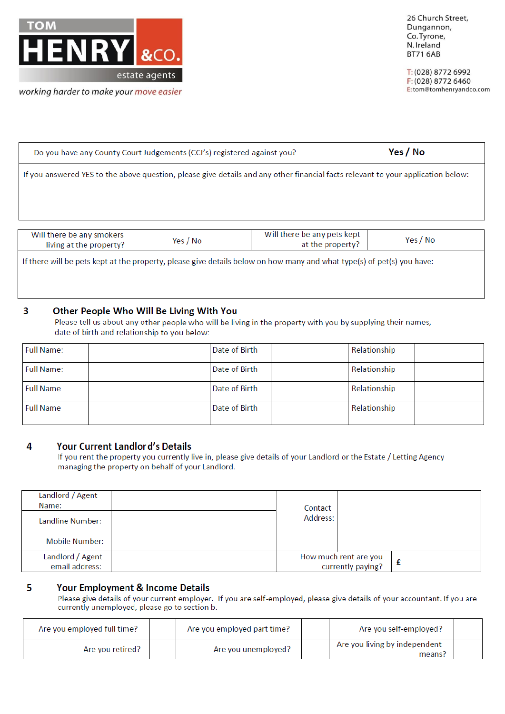

26 Church Street, Dungannon, Co. Tyrone, N. Ireland **BT71 6AB** 

T: (028) 8772 6992 F: (028) 8772 6460 E:tom@tomhenryandco.com

| Do you have any County Court Judgements (CCJ's) registered against you?                                                          | Yes / No |  |  |  |
|----------------------------------------------------------------------------------------------------------------------------------|----------|--|--|--|
| If you answered YES to the above question, please give details and any other financial facts relevant to your application below: |          |  |  |  |
|                                                                                                                                  |          |  |  |  |
|                                                                                                                                  |          |  |  |  |

| Will there be any smokers<br>living at the property?                                                                                                                                                                                        | Yes / No | Will there be any pets kept<br>at the property? | Yes / No |  |  |  |  |
|---------------------------------------------------------------------------------------------------------------------------------------------------------------------------------------------------------------------------------------------|----------|-------------------------------------------------|----------|--|--|--|--|
| $\mathcal{A} \cdot \mathbf{I}$ . The contract of the contract of the contract of the contract of the contract of the contract of the contract of the contract of the contract of the contract of the contract of the contract of the contra |          |                                                 |          |  |  |  |  |

If there will be pets kept at the property, please give details below on how many and what type(s) of pet(s) you have:

#### $\overline{\mathbf{3}}$ Other People Who Will Be Living With You

Please tell us about any other people who will be living in the property with you by supplying their names, date of birth and relationship to you below:

| Full Name:       | Date of Birth | Relationship |  |
|------------------|---------------|--------------|--|
| Full Name:       | Date of Birth | Relationship |  |
| <b>Full Name</b> | Date of Birth | Relationship |  |
| <b>Full Name</b> | Date of Birth | Relationship |  |

#### **Your Current Landlord's Details** 4

If you rent the property you currently live in, please give details of your Landlord or the Estate / Letting Agency managing the property on behalf of your Landlord.

| Landlord / Agent<br>Name:          | Contact  |                                            |  |
|------------------------------------|----------|--------------------------------------------|--|
| Landline Number:                   | Address: |                                            |  |
| Mobile Number:                     |          |                                            |  |
| Landlord / Agent<br>email address: |          | How much rent are you<br>currently paying? |  |

#### 5 Your Employment & Income Details

Please give details of your current employer. If you are self-employed, please give details of your accountant. If you are currently unemployed, please go to section b.

| Are you employed full time? | Are you employed part time? | Are you self-employed?                          |  |
|-----------------------------|-----------------------------|-------------------------------------------------|--|
| Are you retired?            | Are you unemployed?         | Are you living by independent<br>means <i>!</i> |  |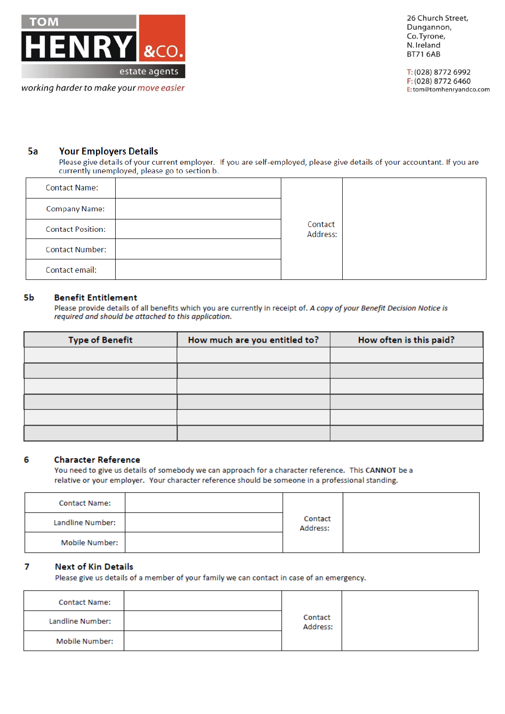

26 Church Street, Dungannon, Co. Tyrone, N. Ireland **BT71 6AB** 

T: (028) 8772 6992 F: (028) 8772 6460 E:tom@tomhenryandco.com

#### 5a **Your Employers Details**

Please give details of your current employer. If you are self-employed, please give details of your accountant. If you are currently unemployed, please go to section b.

| <b>Contact Name:</b>     |                     |  |
|--------------------------|---------------------|--|
| <b>Company Name:</b>     |                     |  |
| <b>Contact Position:</b> | Contact<br>Address: |  |
| <b>Contact Number:</b>   |                     |  |
| Contact email:           |                     |  |

#### 5b **Benefit Entitlement**

Please provide details of all benefits which you are currently in receipt of. A copy of your Benefit Decision Notice is required and should be attached to this application.

| <b>Type of Benefit</b> | How much are you entitled to? | How often is this paid? |
|------------------------|-------------------------------|-------------------------|
|                        |                               |                         |
|                        |                               |                         |
|                        |                               |                         |
|                        |                               |                         |
|                        |                               |                         |
|                        |                               |                         |

#### 6 **Character Reference**

You need to give us details of somebody we can approach for a character reference. This CANNOT be a relative or your employer. Your character reference should be someone in a professional standing.

| <b>Contact Name:</b> |                     |  |
|----------------------|---------------------|--|
| Landline Number:     | Contact<br>Address: |  |
| Mobile Number:       |                     |  |

#### 7 **Next of Kin Details**

Please give us details of a member of your family we can contact in case of an emergency.

| <b>Contact Name:</b> |                     |  |
|----------------------|---------------------|--|
| Landline Number:     | Contact<br>Address: |  |
| Mobile Number:       |                     |  |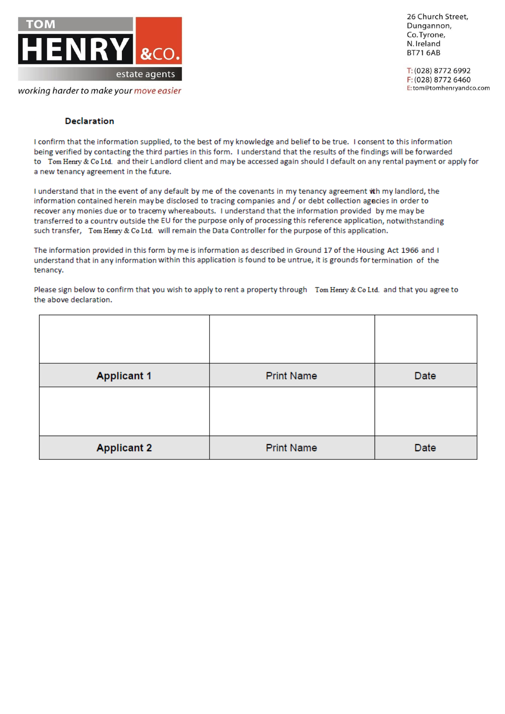

26 Church Street, Dungannon, Co. Tyrone, N. Ireland **BT71 6AB** 

T: (028) 8772 6992 F: (028) 8772 6460 E:tom@tomhenryandco.com

## **Declaration**

I confirm that the information supplied, to the best of my knowledge and belief to be true. I consent to this information being verified by contacting the third parties in this form. I understand that the results of the findings will be forwarded to Tom Henry & Co Ltd. and their Landlord client and may be accessed again should I default on any rental payment or apply for a new tenancy agreement in the future.

I understand that in the event of any default by me of the covenants in my tenancy agreement wth my landlord, the information contained herein may be disclosed to tracing companies and / or debt collection agecies in order to recover any monies due or to tracemy whereabouts. I understand that the information provided by me may be transferred to a country outside the EU for the purpose only of processing this reference application, notwithstanding such transfer, Tom Henry & Co Ltd. will remain the Data Controller for the purpose of this application.

The information provided in this form by me is information as described in Ground 17 of the Housing Act 1966 and I understand that in any information within this application is found to be untrue, it is grounds for termination of the tenancy.

Please sign below to confirm that you wish to apply to rent a property through Tom Henry & Co Ltd. and that you agree to the above declaration.

| <b>Applicant 1</b> | <b>Print Name</b> | Date |
|--------------------|-------------------|------|
|                    |                   |      |
| <b>Applicant 2</b> | <b>Print Name</b> | Date |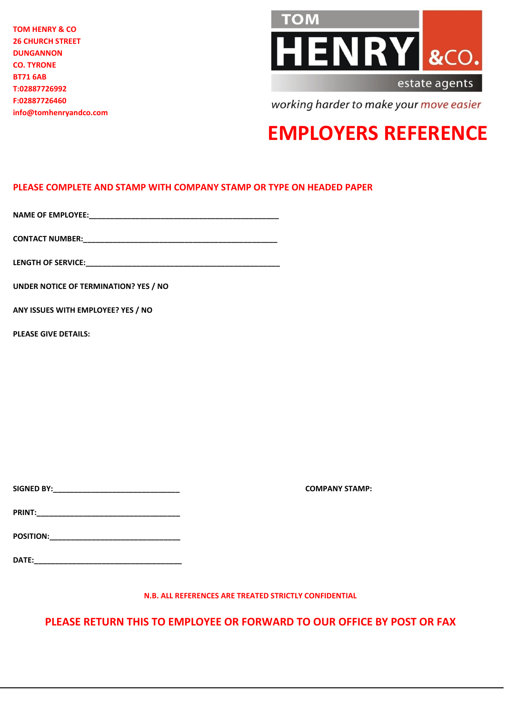**TOM HENRY & CO 26 CHURCH STREET DUNGANNON CO. TYRONE BT71 6AB T:02887726992 F:02887726460 info@tomhenryandco.com**



working harder to make your move easier

# **EMPLOYERS REFERENCE**

## **PLEASE COMPLETE AND STAMP WITH COMPANY STAMP OR TYPE ON HEADED PAPER**

**NAME OF EMPLOYEE:\_\_\_\_\_\_\_\_\_\_\_\_\_\_\_\_\_\_\_\_\_\_\_\_\_\_\_\_\_\_\_\_\_\_\_\_\_\_\_\_\_\_\_\_\_**

**CONTACT NUMBER:\_\_\_\_\_\_\_\_\_\_\_\_\_\_\_\_\_\_\_\_\_\_\_\_\_\_\_\_\_\_\_\_\_\_\_\_\_\_\_\_\_\_\_\_\_\_**

**LENGTH OF SERVICE:** 

**UNDER NOTICE OF TERMINATION? YES / NO**

**ANY ISSUES WITH EMPLOYEE? YES / NO**

**PLEASE GIVE DETAILS:**

**SIGNED BY:\_\_\_\_\_\_\_\_\_\_\_\_\_\_\_\_\_\_\_\_\_\_\_\_\_\_\_\_\_\_ COMPANY STAMP:**

**PRINT:\_\_\_\_\_\_\_\_\_\_\_\_\_\_\_\_\_\_\_\_\_\_\_\_\_\_\_\_\_\_\_\_\_\_**

**POSITION:\_\_\_\_\_\_\_\_\_\_\_\_\_\_\_\_\_\_\_\_\_\_\_\_\_\_\_\_\_\_\_**

**DATE:\_\_\_\_\_\_\_\_\_\_\_\_\_\_\_\_\_\_\_\_\_\_\_\_\_\_\_\_\_\_\_\_\_\_\_**

**N.B. ALL REFERENCES ARE TREATED STRICTLY CONFIDENTIAL**

**PLEASE RETURN THIS TO EMPLOYEE OR FORWARD TO OUR OFFICE BY POST OR FAX**